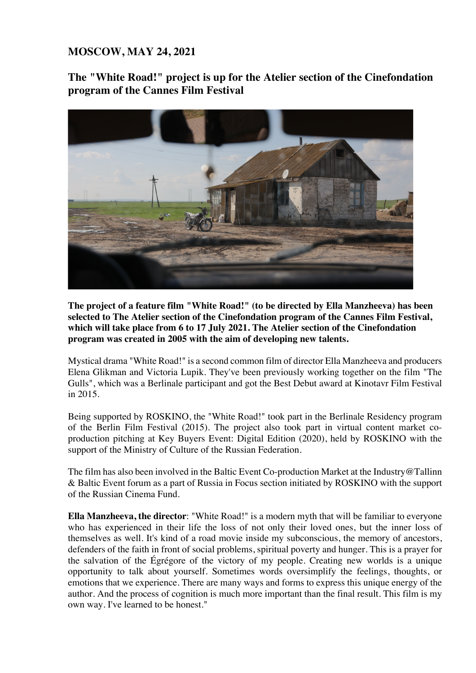# **MOSCOW, MAY 24, 2021**

**The "White Road!" project is up for the Atelier section of the Cinefondation program of the Cannes Film Festival**



**The project of a feature film "White Road!" (to be directed by Ella Manzheeva) has been selected to The Atelier section of the Cinefondation program of the Cannes Film Festival, which will take place from 6 to 17 July 2021. The Atelier section of the Cinefondation program was created in 2005 with the aim of developing new talents.**

Mystical drama "White Road!" is a second common film of director Ella Manzheeva and producers Elena Glikman and Victoria Lupik. They've been previously working together on the film "The Gulls", which was a Berlinale participant and got the Best Debut award at Kinotavr Film Festival in 2015.

Being supported by ROSKINO, the "White Road!" took part in the Berlinale Residency program of the Berlin Film Festival (2015). The project also took part in virtual content market coproduction pitching at Key Buyers Event: Digital Edition (2020), held by ROSKINO with the support of the Ministry of Culture of the Russian Federation.

The film has also been involved in the Baltic Event Co-production Market at the Industry@Tallinn & Baltic Event forum as a part of Russia in Focus section initiated by ROSKINO with the support of the Russian Cinema Fund.

**Ella Manzheeva, the director**: "White Road!" is a modern myth that will be familiar to everyone who has experienced in their life the loss of not only their loved ones, but the inner loss of themselves as well. It's kind of a road movie inside my subconscious, the memory of ancestors, defenders of the faith in front of social problems, spiritual poverty and hunger. This is a prayer for the salvation of the Égrégore of the victory of my people. Creating new worlds is a unique opportunity to talk about yourself. Sometimes words oversimplify the feelings, thoughts, or emotions that we experience. There are many ways and forms to express this unique energy of the author. And the process of cognition is much more important than the final result. This film is my own way. I've learned to be honest."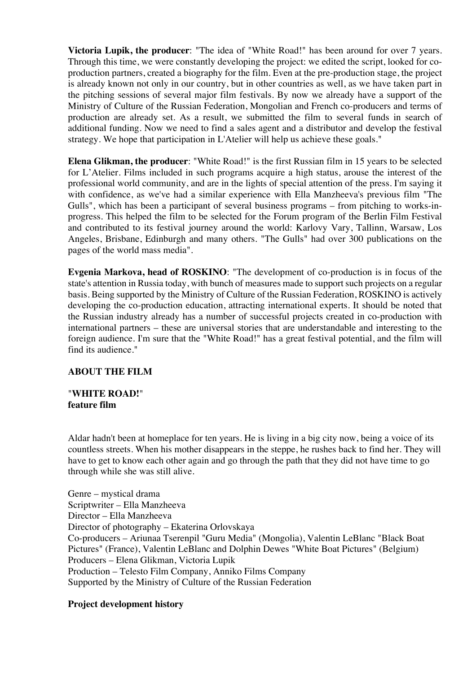**Victoria Lupik, the producer**: "The idea of "White Road!" has been around for over 7 years. Through this time, we were constantly developing the project: we edited the script, looked for coproduction partners, created a biography for the film. Even at the pre-production stage, the project is already known not only in our country, but in other countries as well, as we have taken part in the pitching sessions of several major film festivals. By now we already have a support of the Ministry of Culture of the Russian Federation, Mongolian and French co-producers and terms of production are already set. As a result, we submitted the film to several funds in search of additional funding. Now we need to find a sales agent and a distributor and develop the festival strategy. We hope that participation in L'Atelier will help us achieve these goals."

**Elena Glikman, the producer**: "White Road!" is the first Russian film in 15 years to be selected for L'Atelier. Films included in such programs acquire a high status, arouse the interest of the professional world community, and are in the lights of special attention of the press. I'm saying it with confidence, as we've had a similar experience with Ella Manzheeva's previous film "The Gulls", which has been a participant of several business programs – from pitching to works-inprogress. This helped the film to be selected for the Forum program of the Berlin Film Festival and contributed to its festival journey around the world: Karlovy Vary, Tallinn, Warsaw, Los Angeles, Brisbane, Edinburgh and many others. "The Gulls" had over 300 publications on the pages of the world mass media".

**Evgenia Markova, head of ROSKINO**: "The development of co-production is in focus of the state's attention in Russia today, with bunch of measures made to support such projects on a regular basis. Being supported by the Ministry of Culture of the Russian Federation, ROSKINO is actively developing the co-production education, attracting international experts. It should be noted that the Russian industry already has a number of successful projects created in co-production with international partners – these are universal stories that are understandable and interesting to the foreign audience. I'm sure that the "White Road!" has a great festival potential, and the film will find its audience."

### **ABOUT THE FILM**

### "**WHITE ROAD!**" **feature film**

Aldar hadn't been at homeplace for ten years. He is living in a big city now, being a voice of its countless streets. When his mother disappears in the steppe, he rushes back to find her. They will have to get to know each other again and go through the path that they did not have time to go through while she was still alive.

Genre – mystical drama Scriptwriter – Ella Manzheeva Director – Ella Manzheeva Director of photography – Ekaterina Orlovskaya Co-producers – Ariunaa Tserenpil "Guru Media" (Mongolia), Valentin LeBlanc "Black Boat Pictures" (France), Valentin LeBlanc and Dolphin Dewes "White Boat Pictures" (Belgium) Producers – Elena Glikman, Victoria Lupik Production – Telesto Film Company, Anniko Films Company Supported by the Ministry of Culture of the Russian Federation

## **Project development history**